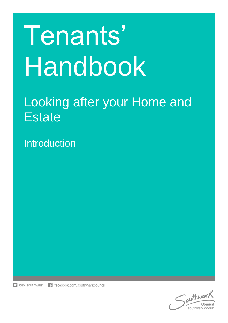# Tenants' Handbook

# Looking after your Home and **Estate**

Introduction



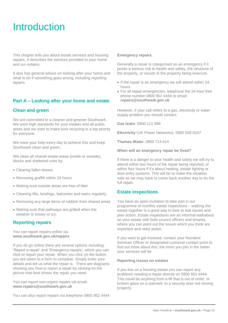# **Introduction**

This chapter tells you about estate services and housing repairs. It describes the services provided to your home and our estates.

It also has general advice on looking after your home and what to do if something goes wrong, including reporting repairs.

# **Part A – Looking after your home and estate**

# **Clean and green**

We are committed to a cleaner and greener Southwark. We want high standards for your estates and all public areas and we want to make sure recycling is a top priority for everyone.

We need your help every day to achieve this and keep Southwark clean and green.

We clean all shared estate areas (inside or outside), blocks and sheltered units by:

- Clearing fallen leaves
- Removing graffiti within 24 hours
- Making sure outside areas are free of litter
- Cleaning lifts, landings, balconies and stairs regularly
- Removing any large items of rubbish from shared areas
- Making sure that pathways are gritted when the weather is snowy or icy.

# **Reporting repairs**

You can report repairs online via **www.southwark.gov.uk/repairs**

If you do go online there are several options including: 'Report a repair' and 'Emergency repairs', which you can click to report your repair. When you click on the button you are taken to a form to complete. Simply enter your details and tell us what the repair is. There are diagrams showing you how to report a repair by clicking on the picture that best shows the repair you need.

You can report non-urgent repairs via email: **www[.repairs@southwark.gov.uk](mailto:repairs@southwark.gov.uk)**

You can also report repairs via telephone 0800 952 4444

#### **Emergency repairs**.

Generally a repair is categorised as an emergency if it poses a serious risk to health and safety, the structure of the property, or results in the property being insecure.

- If the repair is an emergency we will attend within 24 hours.
- For all repair emergencies, telephone the 24 hour free phone number 0800 952 4444 or email: **repairs@southwark.gov.uk**

However, if your call refers to a gas, electricity or water supply problem you should contact:

**Gas leaks**: 0800 111 999

**Electricity** (UK Power Networks): 0800 028 0247

**Thames Water**: 0800 714 614

**When will an emergency repair be fixed?**

If there is a danger to your health and safety we will try to attend within two hours of the repair being reported, or within four hours if it's about heating, estate lighting or door entry systems. This will be to make the situation safe as we may have to come back another day to do the full repair.

#### **Estate inspections**

You have an open invitation to take part in our programme of monthly estate inspections – walking the estate together is a good way to look at real issues and plan action. Estate inspections are an informal walkabout on your estate with both council officers and tenants, where you can point out the issues which you think are important and need action.

If you want to get involved, contact your Resident Services Officer or designated customer contact point to find out more about this; the more you join in the better your services will be

#### **Reporting issues on estates**

If you live on a housing estate you can report any problems needing a repair directly on 0800 952 4444. This could be anything from a lift that is out of order, or broken glass on a stairwell, to a security door not closing properly.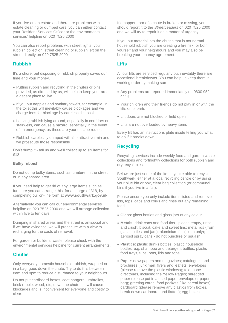If you live on an estate and there are problems with estate cleaning or dumped cars, you can either contact your Resident Services Officer or the environmental services' helpline on 020 7525 2000

You can also report problems with street lights, your rubbish collection, street cleaning or rubbish left on the street directly on 020 7525 2000

# **Rubbish**

It's a chore, but disposing of rubbish properly saves our time and your money.

- Putting rubbish and recycling in the chutes or bins provided, as directed by us, will help to keep your area a decent place to live
- If you put nappies and sanitary towels, for example, in the toilet this will inevitably cause blockages and we charge fees for blockage by careless disposal
- Leaving rubbish lying around, especially in corridors or stairwells, can cause a hazard, especially in the event of an emergency, as these are your escape routes
- Rubbish carelessly dumped will also attract vermin and we prosecute those responsible

Don't dump it - tell us and we'll collect up to six items for £18

#### **Bulky rubbish**

Do not dump bulky items, such as furniture, in the street or in any shared area.

If you need help to get rid of any large items such as furniture you can arrange this, for a charge of £18, by completing our on-line form at **[www.southwark.gov.uk](http://www.southwark.gov.uk/)**

Alternatively you can call our environmental services helpline on 020 7525 2000 and we will arrange collection within five to ten days.

Dumping in shared areas and the street is antisocial and, if we have evidence, we will prosecute with a view to recharging for the costs of removal.

For garden or builders' waste, please check with the environmental services helpline for current arrangements.

# **Chutes**

Only everyday domestic household rubbish, wrapped or in a bag, goes down the chute. Try to do this between 8am and 8pm to reduce disturbance to your neighbours.

Do not put cardboard boxes, coat hangers, umbrellas, brick rubble, wood, etc, down the chute – it will cause blockages and is inconvenient for everyone and costly to clear.

If a hopper door of a chute is broken or missing, you should report it to the *StreetLeaders* on 020 7525 2000 and we will try to repair it as a matter of urgency.

If you put material into the chutes that is not normal household rubbish you are creating a fire risk for both yourself and your neighbours and you may also be breaking your tenancy agreement.

# **Lifts**

All our lifts are serviced regularly but inevitably there are occasional breakdowns. You can help us keep them in working order by making sure:

- Any problems are reported immediately on 0800 952 4444
- Your children and their friends do not play in or with the lifts or its parts
- Lift doors are not blocked or held open
- Lifts are not overloaded by heavy items

Every lift has an instructions plate inside telling you what to do if it breaks down.

# **Recycling**

Recycling services include weekly food and garden waste collections and fortnightly collections for both rubbish and dry recyclables.

Below are just some of the items you're able to recycle in Southwark, either at a local recycling centre or by using your blue bin or box, clear bag collection (or communal bins if you live in a flat).

Please ensure you only include items listed and remove lids, tops, caps and corks and rinse out any remaining food.

- **Glass**: glass bottles and glass jars of any colour
- **Metals**: drink cans and food tins please empty, rinse and crush; biscuit, cake and sweet tins; metal lids (from glass bottles and jars); aluminium foil (clean only); aerosol spray cans - do not puncture or squash
- **Plastics**: plastic drinks bottles; plastic household bottles, e.g. shampoo and detergent bottles; plastic food trays, tubs, pots, lids and tops
- **Paper**: newspapers and magazines; catalogues and brochures; junk mail, flyers and leaflets; envelopes (please remove the plastic windows); telephone directories, including the Yellow Pages; shredded paper (please put in a used paper envelope or paper bag); greeting cards; food packets (like cereal boxes); cardboard (please remove any plastics from boxes, break down cardboard, and flatten); egg boxes;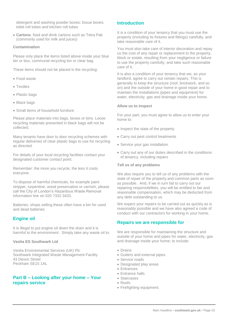detergent and washing powder boxes; tissue boxes; toilet roll tubes and kitchen roll tubes

 **Cartons**: food and drink cartons such as Tetra Pak (commonly used for milk and juices)

#### **Contamination**

Please only place the items listed above inside your blue bin or box, communal recycling bin or clear bag.

These items should not be placed in the recycling:

- Food waste
- Textiles
- Plastic bags
- Black bags
- Small items of household furniture

Please place materials into bags, boxes or bins. Loose recycling materials presented in black bags will not be collected.

Many tenants have door to door recycling schemes with regular deliveries of clear plastic bags to use for recycling as directed.

For details of your local recycling facilities contact your designated customer contact point.

Remember: the more you recycle, the less it costs everyone.

To dispose of harmful chemicals, for example paint stripper, turpentine, wood preservative or varnish, please call the City of London's Hazardous Waste Removal information line on 020 7332 3433.

Batteries: shops selling these often have a bin for used and dead batteries

#### **Engine oil**

It is illegal to put engine oil down the drain and it is harmful to the environment. Simply take any waste oil to:

#### **Veolia ES Southwark Ltd**

Veolia Environmental Services (UK) Plc Southwark Integrated Waste Management Facility 43 Devon Street Peckham SE15 1AL

## **Part B – Looking after your home – Your repairs service**

# **Introduction**

It is a condition of your tenancy that you must use the property (including its fixtures and fittings) carefully, and take reasonable care of it.

You must also take care of interior decoration and repay us the cost of any repair or replacement to the property, block or estate, resulting from your negligence or failure to use the property carefully, and take such reasonable care of it.

It is also a condition of your tenancy that we, as your landlord, agree to carry out certain repairs. This is generally to keep the structure (roof, brickwork, and so on) and the outside of your home in good repair and to maintain the installations (pipes and equipment) for water, electricity, gas and drainage inside your home.

#### **Allow us to inspect**

For your part, you must agree to allow us to enter your home to:

- Inspect the state of the property
- Carry out pest control treatments
- Service your gas installation
- Carry out any of our duties described in the conditions of tenancy, including repairs

#### **Tell us of any problems**

We also require you to tell us of any problems with the state of repair of the property and common parts as soon as possible. And, if we in turn fail to carry out our repairing responsibilities, you will be entitled to fair and reasonable compensation, which may be deducted from any debt outstanding to us.

We expect your repairs to be carried out as quickly as is reasonably possible and we have also agreed a code of conduct with our contractors for working in your home.

#### **Repairs we are responsible for**

We are responsible for maintaining the structure and outside of your home and pipes for water, electricity, gas and drainage inside your home; to include:

- Drains
- Gutters and external pipes
- Service roads
- Designated play areas
- Entrances
- Entrance halls
- Staircases
- Roofs
- Firefighting equipment.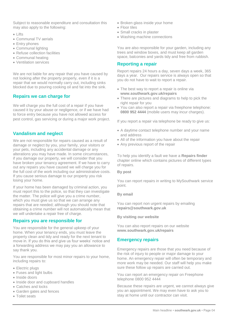Subject to reasonable expenditure and consultation this may also apply to the following:

- Lifts
- Communal TV aerials
- Entry phones
- Communal lighting
- Refuse collection facilities
- Communal heating
- Ventilation services

We are not liable for any repair that you have caused by not looking after the property properly, even if it is a repair that we would normally carry out, including sinks blocked due to pouring cooking oil and fat into the sink.

## **Repairs we can charge for**

We will charge you the full cost of a repair if you have caused it by your abuse or negligence, or if we have had to force entry because you have not allowed access for pest control, gas servicing or during a major work project.

# **Vandalism and neglect**

We are not responsible for repairs caused as a result of damage or neglect by you, your family, your visitors or your pets, including any accidental damage or any alterations you may have made. In some circumstances, if you damage our property, we will consider that you have broken your tenancy agreement. If we have to carry out any repairs you have caused we will charge you for the full cost of the work including our administrative costs. If you cause serious damage to our property you risk losing your home.

If your home has been damaged by criminal action, you must report this to the police, so that they can investigate the matter. The police will give you a crime number, which you must give us so that we can arrange any repairs that are needed; although you should note that obtaining a crime number will not automatically mean that we will undertake a repair free of charge.

#### **Repairs you are responsible for**

You are responsible for the general upkeep of your home. When your tenancy ends, you must leave the property clean and tidy and ready for the next tenant to move in. If you do this and give us four weeks' notice and a forwarding address we may pay you an allowance to say thank you.

You are responsible for most minor repairs to your home, including repairs to:

- Electric plugs
- Fuses and light bulbs
- Inside doors
- Inside door and cupboard handles
- Catches and locks
- Garden gates and fences
- Toilet seats
- Broken glass inside your home
- Floor tiles
- Small cracks in plaster
- Washing machine connections

You are also responsible for your garden, including any trees and window boxes, and must keep all garden space, balconies and yards tidy and free from rubbish.

# **Reporting a repair**

Report repairs 24 hours a day, seven days a week, 365 days a year. Our repairs service is always open so that you do not have to wait to report a repair.

- The best way to report a repair is online via **[www.southwark.gov.uk/repairs](http://www.southwark.gov.uk/repairs)**
- There are pictures and diagrams to help to pick the right repair for you
- You can also report a repair via freephone telephone: **0800 952 4444** (mobile users may incur charges).

If you report a repair via telephone be ready to give us:

- A daytime contact telephone number and your name and address
- All of the information you have about the repair
- Any previous report of the repair

To help you identify a fault we have a **Repairs finder** chapter online which contains pictures of different types of repairs.

#### **By post**

You can report repairs in writing to MySouthwark service point.

#### **By email**

You can report non urgent repairs by emailing **[repairs@southwark.gov.uk](mailto:repairs@southwark.gov.uk)**

**By visiting our website**

You can also report repairs on our website **[www.southwark.gov.uk/repairs](http://www.southwark.gov.uk/repairs)**

# **Emergency repairs**

Emergency repairs are those that you need because of the risk of injury to people or major damage to your home. An emergency repair will often be temporary and more work may be needed. Our staff will help you make sure these follow up repairs are carried out.

You can report an emergency repair on Freephone telephone 0800 952 4444

Because these repairs are urgent, we cannot always give you an appointment. We may even have to ask you to stay at home until our contractor can visit.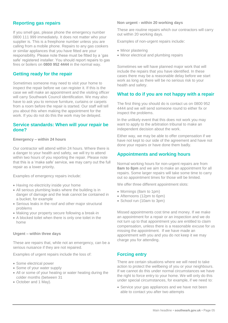# **Reporting gas repairs**

If you smell gas, please phone the emergency number 0800 111 999 immediately. It does not matter who your supplier is. This is a freephone number unless you are calling from a mobile phone. Repairs to any gas cookers or similar appliances that you have fitted are your responsibility. Please note these must be fitted by a 'gas safe' registered installer. You should report repairs to gas fires or boilers on **0800 952 4444** in the normal way.

# **Getting ready for the repair**

Sometimes someone may need to visit your home to inspect the repair before we can register it. If this is the case we will make an appointment and the visiting officer will carry Southwark Council identification. We may also have to ask you to remove furniture, curtains or carpets from a room before the repair is started. Our staff will tell you about this when making the appointment for the work. If you do not do this the work may be delayed.

#### **Service standards: When will your repair be done?**

#### **Emergency – within 24 hours**

Our contractor will attend within 24 hours. Where there is a danger to your health and safety, we will try to attend within two hours of you reporting the repair. Please note that this is a 'make safe' service, we may carry out the full repair as a lower priority.

Examples of emergency repairs include:

- Having no electricity inside your home
- All serious plumbing leaks where the building is in danger of damage and the leak cannot be contained in a bucket, for example
- Serious leaks in the roof and other major structural problems
- Making your property secure following a break-in
- A blocked toilet when there is only one toilet in the home

#### **Urgent – within three days**

These are repairs that, while not an emergency, can be a serious nuisance if they are not repaired.

Examples of urgent repairs include the loss of:

- Some electrical power
- Some of your water supply
- All or some of your heating or water heating during the colder months (between 31
- October and 1 May).

#### **Non urgent - within 20 working days**

These are routine repairs which our contractors will carry out within 20 working days.

Examples of non-urgent repairs include:

- Minor plastering
- Minor electrical and plumbing repairs

Sometimes we will have planned major work that will include the repairs that you have identified. In these cases there may be a reasonable delay before we start work as long as there will be no serious risk to your health and safety.

#### **What to do if you are not happy with a repair**

The first thing you should do is contact us on 0800 952 4444 and we will send someone round to either fix or inspect the problems.

In the unlikely event that this does not work you may want to apply to the arbitration tribunal to make an independent decision about the work.

Either way, we may be able to offer compensation if we have not kept to our side of the agreement and have not done your repairs or have done them badly.

#### **Appointments and working hours**

Normal working hours for non-urgent repairs are from **8am to 8pm** and we aim to make an appointment for all repairs. Some larger repairs will take some time to carry out so appointment times for those will be limited.

We offer three different appointment slots:

- Mornings (8am to 1pm)
- Afternoons (12pm to 6pm)
- School run (10am to 3pm)

Missed appointments cost time and money. If we make an appointment for a repair or an inspection and we do not turn up to that appointment you are entitled to claim compensation, unless there is a reasonable excuse for us missing the appointment. If we have made an appointment with you and you do not keep it we may charge you for attending.

# **Forcing entry**

There are certain situations where we will need to take action to protect the wellbeing of you or your neighbours. If we cannot do this under normal circumstances we have the right to force entry to your home. We will only do this under special circumstances, for example, if we need to:

 Service your gas appliances and we have not been able to contact you after two attempts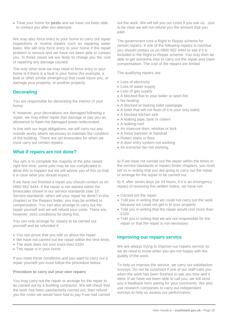Treat your home for **pests** and we have not been able to contact you after two attempts

We may also force entry to your home to carry out repair inspections or routine repairs such as repairing water leaks. We will only force entry to your home if the repair problem is serious and we have not been able to contact you. In these cases we are likely to charge you the cost of repairing any damage caused.

The only other time we may need to force entry to your home is if there is a fault in your home (for example, a leak or other similar emergency) that could injure you, or damage your property, or another property.

# **Decorating**

You are responsible for decorating the interior of your home.

If, however, your decorations are damaged following a repair, we may either repair that damage or pay you an allowance to have the damaged areas redecorated.

In line with our legal obligations, we will carry out any outside works where necessary to maintain the condition of the building. There are set timescales for when we must carry out certain repairs.

## **What if repairs are not done?**

Our aim is to complete the majority of the jobs raised right first time, some jobs may be too complicated to allow this to happen but we will advise you of this so that it is clear what you should expect.

If we have not finished a repair you should contact us on 0800 952 4444. If the repair is not started within the timescales shown in our service standards (see 10 Service standards: when will your repair be done? in this chapter) or the Repairs finder, you may be entitled to compensation. You can also arrange to carry out the repair yourself and we will refund your costs. There are, however, strict conditions for doing this.

You can only arrange for repairs to be carried out yourself and be refunded if:

- You can prove that you told us about the repair
- We have not carried out the repair within the time limits
- The work does not cost more than £320
- The repair is in your home

If you meet these conditions and you want to carry out a repair yourself you must follow the procedure below.

#### **Procedure to carry out your own repairs**

You may carry out the repair or arrange for the repair to be carried out by a building contractor. We will check that the work has been satisfactorily carried out, then refund you the costs we would have had to pay if we had carried out the work. We will tell you our costs if you ask us. Just to be clear we will not refund you the amount that you paid.

The government runs a Right to Repair scheme for certain repairs. If one of the following repairs is overdue you should contact us on 0800 952 4444 to see if it is included in the Right to Repair scheme. You may then be able to get someone else to carry out the repair and claim compensation. The cost of the repairs are limited

The qualifying repairs are:

- Loss of electricity
- Loss of water supply
- Loss of gas supply
- A blocked flue to your boiler or open fire
- No heating
- A blocked or leaking toilet wastepipe
- A toilet that will not flush (if it is your only toilet)
- A blocked kitchen sink
- A leaking pipe, tank or cistern
- A leaking roof
- An insecure door, window or lock
- A loose banister or handrail
- Rotten stairs or floor
- A door entry system not working
- An extractor fan not working.

a) If we have not carried out the repair within the times in the service standards or repairs finder chapters, you must tell us in writing that you are going to carry out the repair or arrange for the repair to be carried out.

b) If, after seven days (or 24 hours, if it is an emergency repair) of receiving this written notice, we have not:

- Carried out the repair
- Told you in writing that we could not carry out the work because we could not get in to your property
- Told you in writing that the repair would cost more than £320
- Told you in writing that we are not responsible for the repair or that the repair is not necessary

# **Improving our repairs service**

We are always trying to improve our repairs service so we do need to know when you are not happy with the quality of the work.

To help us improve the service, we carry out satisfaction surveys. Do not be surprised if one of our staff calls you when the work has been finished to ask you how well it went. If we have not been able to call you, we will send you a feedback form asking for your comments. We also use research companies to carry out independent surveys to help us assess our performance.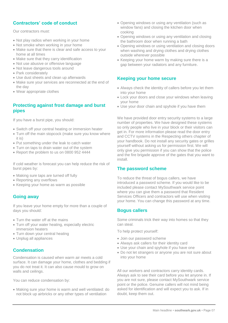# **Contractors' code of conduct**

Our contractors must:

- Not play radios when working in your home
- Not smoke when working in your home
- Make sure that there is clear and safe access to your home at all times
- Make sure that they carry identification
- Not use abusive or offensive language
- Not leave dangerous tools around
- Park considerately
- Use dust sheets and clean up afterwards
- Make sure your services are reconnected at the end of the day
- Wear appropriate clothes

# **Protecting against frost damage and burst pipes**

If you have a burst pipe, you should:

- Switch off your central heating or immersion heater
- Turn off the main stopcock (make sure you know where it is)
- Put something under the leak to catch water
- Turn on taps to drain water out of the system
- Report the problem to us on 0800 952 4444

If cold weather is forecast you can help reduce the risk of burst pipes by:

- Making sure taps are turned off fully
- Reporting any overflows
- Keeping your home as warm as possible

# **Going away**

If you leave your home empty for more than a couple of days you should:

- Turn the water off at the mains
- Turn off your water heating, especially electric immersion heaters
- Turn down your central heating
- Unplug all appliances

# **Condensation**

Condensation is caused when warm air meets a cold surface. It can damage your home, clothes and bedding if you do not treat it. It can also cause mould to grow on walls and ceilings.

You can reduce condensation by:

 Making sure your home is warm and well ventilated: do not block up airbricks or any other types of ventilation

- Opening windows or using any ventilation (such as window fans) and closing the kitchen door when cooking
- Opening windows or using any ventilation and closing the bathroom door when running a bath
- Opening windows or using ventilation and closing doors when washing and drying clothes and drying clothes outside wherever possible
- Keeping your home warm by making sure there is a gap between your radiators and any furniture.

# **Keeping your home secure**

- Always check the identity of callers before you let them into your home
- Lock your doors and close your windows when leaving your home
- Use your door chain and spyhole if you have them

We have provided door entry security systems to a large number of properties. We have designed these systems so only people who live in your block or their visitors can get in. For more information please read the door entry and CCTV systems in the Respecting others chapter of your handbook. Do not install any security gates or grilles yourself without asking us for permission first. We will only give you permission if you can show that the police and the fire brigade approve of the gates that you want to install.

#### **The password scheme**

To reduce the threat of bogus callers, we have introduced a password scheme. If you would like to be included please contact MySouthwark service point where you can give them a password that Resident Services Officers and contractors will use when visiting your home. You can change this password at any time.

# **Bogus callers**

Some criminals trick their way into homes so that they can steal.

To help protect yourself:

- Join our password scheme
- Always ask callers for their identity card
- Use your chain and spyhole if you have one
- Do not let strangers or anyone you are not sure about into your home

All our workers and contractors carry identity cards. Always ask to see their card before you let anyone in. If you are not sure, please contact MySouthwark service point or the police. Genuine callers will not mind being asked for identification and will expect you to ask. If in doubt, keep them out.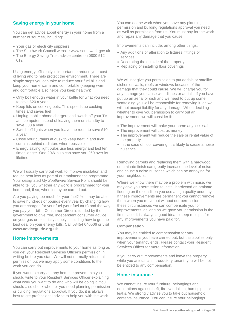# **Saving energy in your home**

You can get advice about energy in your home from a number of sources, including:

- Your gas or electricity suppliers
- The Southwark Council website [www.southwark.gov.uk](file://///lbsth-hou-ns1/bournemouth_user$/SCharles/My%20Documents/Tenants%20Handbook/Updated%20chapters/www.southwark.gov.uk)
- The Energy Saving Trust advice centre on 0800 512 012

Using energy efficiently is important to reduce your cost of living and to help protect the environment. There are simple steps you can take to reduce your fuel bills and keep your home warm and comfortable (keeping warm and comfortable also helps you keep healthy):

- Only boil enough water in your kettle for what you need to save £20 a year
- Keep lids on cooking pots. This speeds up cooking times and saves fuel
- Unplug mobile phone chargers and switch off your TV and computer instead of leaving them on standby to save £30 a year
- Switch off lights when you leave the room to save £10 a year
- Close your curtains at dusk to keep heat in and tuck curtains behind radiators where possible
- Energy saving light bulbs use less energy and last ten times longer. One 20W bulb can save you £60 over its lifetime

We will usually carry out work to improve insulation and reduce heat loss as part of our maintenance programme. Your designated *My Southwark* Service Point should be able to tell you whether any work is programmed for your home and, if so, when it may be carried out.

Are you paying too much for your fuel? You may be able to save hundreds of pounds every year by changing how you are charged for your fuel (your fuel tariff) and the way you pay your bills. Consumer Direct is funded by the government to give free, independent consumer advice on your gas or electricity supply, including how to get the best deal on your energy bills. Call 08454 040506 or visit **[www.adviceguide.org.uk](http://www.adviceguide.org.uk/)**

#### **Home improvements**

You can carry out improvements to your home as long as you get your Resident Services Officer's permission in writing before you start. We will not normally refuse this permission but we may apply some conditions to the work you can do.

If you want to carry out any home improvements you should write to your Resident Services Officer explaining what work you want to do and who will be doing it. You should also check whether you need planning permission or building regulations approval. If you do, it is always best to get professional advice to help you with the work.

You can do the work when you have any planning permission and building regulations approval you need, as well as permission from us. You must pay for the work and repair any damage that you cause.

Improvements can include, among other things:

- Any additions or alteration to fixtures, fittings or services
- Decorating the outside of the property
- Replacing or installing floor coverings

We will not give you permission to put aerials or satellite dishes on walls, roofs or windows because of the damage that they could cause. We will charge you for any damage you cause with dishes or aerials. If you have put up an aerial or dish and we need to put up some scaffolding you will be responsible for removing it, as we will not accept liability for any damage. When deciding whether to give you permission to carry out an improvement, we will consider if:

- The improvement will make your home any less safe
- The improvement will cost us money
- The improvement will reduce the sale or rental value of the property
- In the case of floor covering, it is likely to cause a noise nuisance

Removing carpets and replacing them with a hardwood or laminate finish can greatly increase the level of noise and cause a noise nuisance which can be annoying for your neighbours.

Where we know there may be a problem with noise, we may give you permission to install hardwood or laminate flooring on the condition you use a high quality underlay. If these improvements are permanent you cannot remove them when you move out without our permission. In these circumstances we can compensate you for improvements, as long as we gave you permission in the first place. It is always a good idea to keep receipts for any improvements you have paid for.

#### **Compensation**

You may be entitled to compensation for any improvements you have carried out, but this applies only when your tenancy ends. Please contact your Resident Services Officer for more information.

If you carry out improvements and leave the property while you are still an introductory tenant, you will be not be entitled to any compensation.

#### **Home insurance**

We cannot insure your furniture, belongings and decorations against theft, fire, vandalism, burst pipes or leaks. We strongly advise you to take out household contents insurance. You can insure your belongings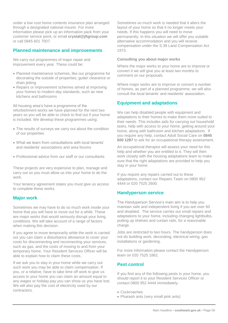under a low cost home contents insurance plan arranged through a designated national insurer. For more information please pick up an information pack from your customer service point, or email **[crystal@jltgroup.com](mailto:crystal@jltgroup.com)** or call 0845 601 7007.

# **Planned maintenance and improvements**

We carry out programmes of major repair and improvement every year. These could be:

- Planned maintenance schemes, like our programme for decorating the outside of properties; gutter clearance or drain jetting
- Repairs or improvement schemes aimed at improving your homes to modern day standards, such as new kitchens and bathrooms

All housing area's have a programme of the refurbishment works we have planned for the next two years so you will be able to check to find out if your home is included. We develop these programmes using:

- The results of surveys we carry out about the condition of our properties
- What we learn from consultations with local tenants' and residents' associations and area forums
- Professional advice from our staff or our consultants

These projects are very expensive to plan, manage and carry out so you must allow us into your home to do the work.

Your tenancy agreement states you must give us access to complete these works.

# **Major work**

Sometimes we may have to do so much work inside your home that you will have to move out for a while. These are major works that would seriously disrupt your living conditions. We will take account of a range of factors when making this decision.

If you agree to move temporarily while the work is carried out you can claim a disturbance allowance to cover your costs for disconnecting and reconnecting your services, such as gas, and the costs of moving to and from your temporary home. Your Resident Services Officer will be able to explain how to claim these costs.

If we ask you to stay in your home while we carry out such work you may be able to claim compensation. If you, or a relative, have to take time off work to give us access to your home you can claim an amount equal to any wages or holiday pay you can show us you have lost. We will also pay the cost of electricity used by our contractors.

Sometimes so much work is needed that it alters the layout of your home so that it no longer meets your needs. If this happens you will need to move permanently. In this situation we will offer you suitable alternative accommodation and you will receive compensation under the S.39 Land Compensation Act 1973.

#### **Consulting you about major works**

Where the major works to your home are to improve or convert it we will give you at least two months to comment on our proposals.

Where major works are to improve or convert a number of homes, as part of a planned programme, we will also consult the local tenants' and residents' association.

#### **Equipment and adaptations**

We can help disabled people with equipment and adaptations to their homes to make them more suited to their needs. This includes aids for carrying out household tasks, help with access to your home, getting around your home, along with bathroom and kitchen adaptations. If you require any help, contact Adult Social Care on **0845 600 1287** to ask for an occupational therapy assessment.

An occupational therapist will assess your need for this help and whether you are entitled to it. They will then work closely with the housing adaptations team to make sure that the right adaptations are provided to help you stay in your home.

If you require any repairs carried out to these adaptations, contact our Repairs Team on 0800 952 4444 or 020 7525 2600.

#### **Handyperson service**

The Handyperson Service's main aim is to help you maintain safe and independent living if you are over 60 and disabled. The service carries out small repairs and adaptations to your home, including changing lightbulbs, putting up shelves and curtain rails, for a reasonable charge.

Jobs are restricted to two hours. The handyperson does not do building work, decorating, electrical wiring, gas installations or gardening.

For more information please contact the Handyperson team on 020 7525 1862.

#### **Pest control**

If you find any of the following pests in your home, you should report it to your Resident Services Officer or contact 0800 952 4444 immediately.

- Cockroaches
- Pharaoh ants (very small pink ants)